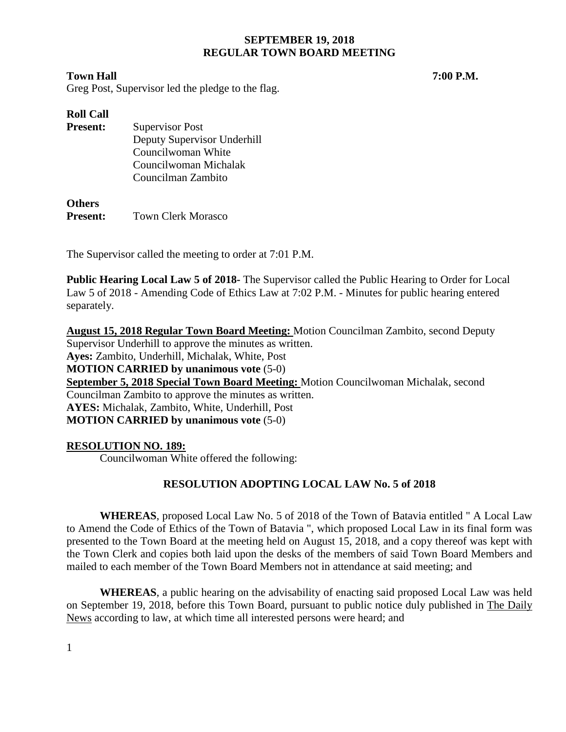#### **Town Hall 7:00 P.M.**

Greg Post, Supervisor led the pledge to the flag.

| <b>Roll Call</b> |                             |
|------------------|-----------------------------|
| <b>Present:</b>  | <b>Supervisor Post</b>      |
|                  | Deputy Supervisor Underhill |
|                  | Councilwoman White          |
|                  | Councilwoman Michalak       |
|                  | Councilman Zambito          |
|                  |                             |

## **Others Present:** Town Clerk Morasco

The Supervisor called the meeting to order at 7:01 P.M.

**Public Hearing Local Law 5 of 2018-** The Supervisor called the Public Hearing to Order for Local Law 5 of 2018 - Amending Code of Ethics Law at 7:02 P.M. - Minutes for public hearing entered separately.

**August 15, 2018 Regular Town Board Meeting:** Motion Councilman Zambito, second Deputy Supervisor Underhill to approve the minutes as written. **Ayes:** Zambito, Underhill, Michalak, White, Post **MOTION CARRIED by unanimous vote** (5-0) **September 5, 2018 Special Town Board Meeting:** Motion Councilwoman Michalak, second Councilman Zambito to approve the minutes as written. **AYES:** Michalak, Zambito, White, Underhill, Post **MOTION CARRIED by unanimous vote** (5-0)

# **RESOLUTION NO. 189:**

Councilwoman White offered the following:

# **RESOLUTION ADOPTING LOCAL LAW No. 5 of 2018**

**WHEREAS**, proposed Local Law No. 5 of 2018 of the Town of Batavia entitled " A Local Law to Amend the Code of Ethics of the Town of Batavia ", which proposed Local Law in its final form was presented to the Town Board at the meeting held on August 15, 2018, and a copy thereof was kept with the Town Clerk and copies both laid upon the desks of the members of said Town Board Members and mailed to each member of the Town Board Members not in attendance at said meeting; and

**WHEREAS**, a public hearing on the advisability of enacting said proposed Local Law was held on September 19, 2018, before this Town Board, pursuant to public notice duly published in The Daily News according to law, at which time all interested persons were heard; and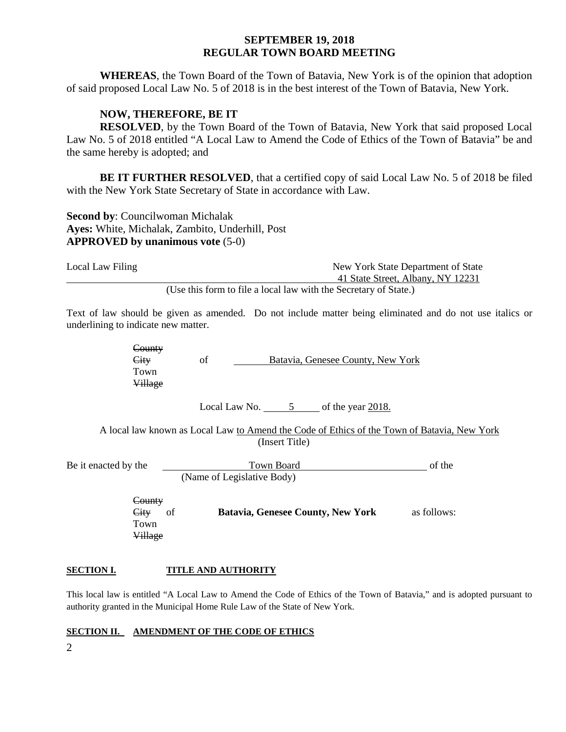**WHEREAS**, the Town Board of the Town of Batavia, New York is of the opinion that adoption of said proposed Local Law No. 5 of 2018 is in the best interest of the Town of Batavia, New York.

#### **NOW, THEREFORE, BE IT**

**RESOLVED**, by the Town Board of the Town of Batavia, New York that said proposed Local Law No. 5 of 2018 entitled "A Local Law to Amend the Code of Ethics of the Town of Batavia" be and the same hereby is adopted; and

**BE IT FURTHER RESOLVED**, that a certified copy of said Local Law No. 5 of 2018 be filed with the New York State Secretary of State in accordance with Law.

**Second by**: Councilwoman Michalak **Ayes:** White, Michalak, Zambito, Underhill, Post **APPROVED by unanimous vote** (5-0)

| Local Law Filing | New York State Department of State                               |
|------------------|------------------------------------------------------------------|
|                  | 41 State Street, Albany, NY 12231                                |
|                  | (Use this form to file a local law with the Secretary of State.) |

Text of law should be given as amended. Do not include matter being eliminated and do not use italics or underlining to indicate new matter.

> **County** City of Batavia, Genesee County, New York Town Village

> > Local Law No.  $5$  of the year 2018.

A local law known as Local Law to Amend the Code of Ethics of the Town of Batavia, New York (Insert Title)

| Be it enacted by the | Town Board                 | of the |
|----------------------|----------------------------|--------|
|                      | (Name of Legislative Body) |        |

**County** Town Village

City of **Batavia, Genesee County, New York** as follows:

#### **SECTION I. TITLE AND AUTHORITY**

This local law is entitled "A Local Law to Amend the Code of Ethics of the Town of Batavia," and is adopted pursuant to authority granted in the Municipal Home Rule Law of the State of New York.

#### **SECTION II. AMENDMENT OF THE CODE OF ETHICS**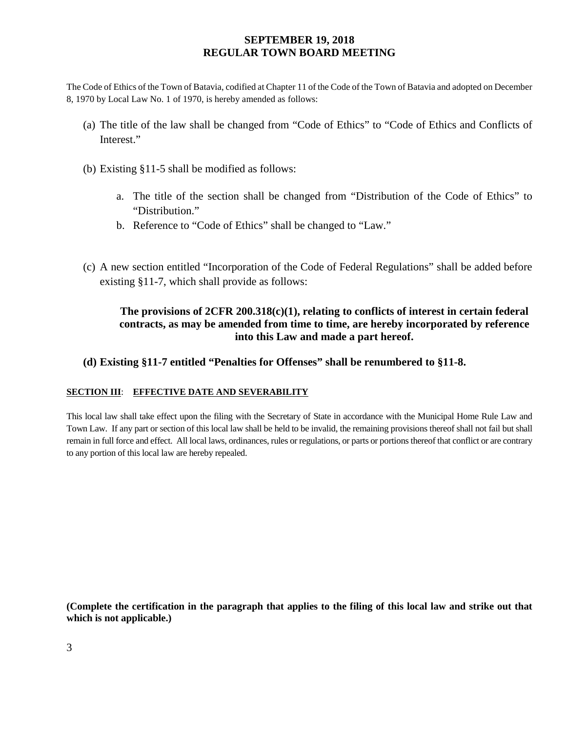The Code of Ethics of the Town of Batavia, codified at Chapter 11 of the Code of the Town of Batavia and adopted on December 8, 1970 by Local Law No. 1 of 1970, is hereby amended as follows:

- (a) The title of the law shall be changed from "Code of Ethics" to "Code of Ethics and Conflicts of Interest."
- (b) Existing §11-5 shall be modified as follows:
	- a. The title of the section shall be changed from "Distribution of the Code of Ethics" to "Distribution."
	- b. Reference to "Code of Ethics" shall be changed to "Law."
- (c) A new section entitled "Incorporation of the Code of Federal Regulations" shall be added before existing §11-7, which shall provide as follows:

# **The provisions of 2CFR 200.318(c)(1), relating to conflicts of interest in certain federal contracts, as may be amended from time to time, are hereby incorporated by reference into this Law and made a part hereof.**

## **(d) Existing §11-7 entitled "Penalties for Offenses" shall be renumbered to §11-8.**

#### **SECTION III**: **EFFECTIVE DATE AND SEVERABILITY**

This local law shall take effect upon the filing with the Secretary of State in accordance with the Municipal Home Rule Law and Town Law. If any part or section of this local law shall be held to be invalid, the remaining provisions thereof shall not fail but shall remain in full force and effect. All local laws, ordinances, rules or regulations, or parts or portions thereof that conflict or are contrary to any portion of this local law are hereby repealed.

**(Complete the certification in the paragraph that applies to the filing of this local law and strike out that which is not applicable.)**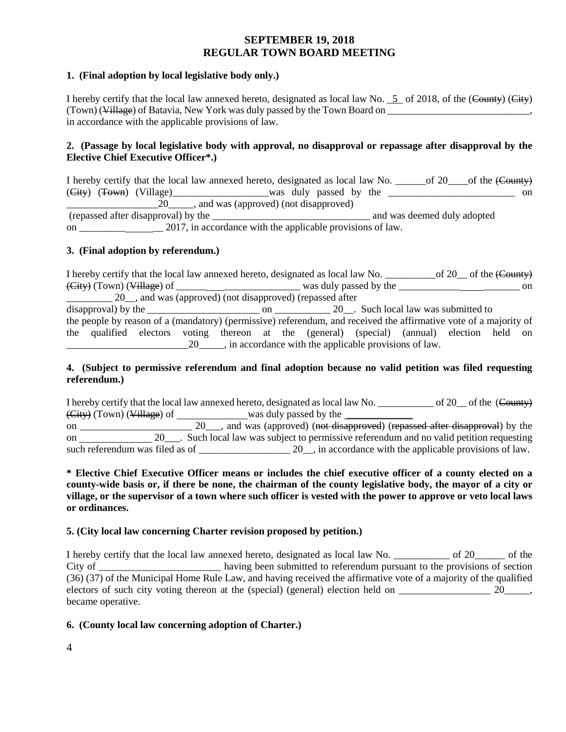#### **1. (Final adoption by local legislative body only.)**

I hereby certify that the local law annexed hereto, designated as local law No.  $\frac{5}{5}$  of 2018, of the (County) (City) (Town) (Village) of Batavia, New York was duly passed by the Town Board on \_\_\_\_\_\_\_\_\_\_\_\_\_\_\_\_\_\_\_\_\_\_\_\_\_\_\_\_\_\_\_, in accordance with the applicable provisions of law.

#### **2. (Passage by local legislative body with approval, no disapproval or repassage after disapproval by the Elective Chief Executive Officer\*.)**

I hereby certify that the local law annexed hereto, designated as local law No. \_\_\_\_\_\_of 20\_\_\_\_of the (County)  $(\text{City})$   $(\text{Tour})$   $(\text{Village})$   $(\text{Village})$   $(\text{ထ}$   $\text{was}$  duly passed by the  $\text{1}$ 20  $\ldots$  and was (approved) (not disapproved) (repassed after disapproval) by the \_\_\_\_\_\_\_\_\_\_\_\_\_\_\_\_\_\_\_\_\_\_\_\_\_\_\_\_\_\_\_ and was deemed duly adopted on \_\_\_\_\_\_\_\_\_ \_\_ 2017, in accordance with the applicable provisions of law.

#### **3. (Final adoption by referendum.)**

I hereby certify that the local law annexed hereto, designated as local law No. \_\_\_\_\_\_\_\_\_\_\_\_\_of 20\_\_ of the (County) (City) (Town) (Village) of \_\_\_\_\_\_ \_\_\_\_\_\_\_\_\_\_\_\_\_\_\_ was duly passed by the \_\_\_\_\_\_\_\_\_\_\_\_ \_\_\_\_\_\_\_ on \_\_\_\_\_\_\_\_\_ 20\_\_, and was (approved) (not disapproved) (repassed after disapproval) by the \_\_\_\_\_\_\_\_\_\_\_\_\_\_\_\_\_\_\_\_\_\_ on \_\_\_\_\_\_\_\_\_\_\_ 20\_\_. Such local law was submitted to the people by reason of a (mandatory) (permissive) referendum, and received the affirmative vote of a majority of the qualified electors voting thereon at the (general) (special) (annual) election held on \_\_\_\_\_\_\_\_\_\_\_\_\_\_\_\_\_\_\_\_\_\_\_\_20\_\_\_\_\_, in accordance with the applicable provisions of law.

#### **4. (Subject to permissive referendum and final adoption because no valid petition was filed requesting referendum.)**

I hereby certify that the local law annexed hereto, designated as local law No. \_\_\_\_\_\_\_\_\_\_\_ of 20\_\_ of the (County) (City) (Town) (Village) of was duly passed by the was duly passed by the was duly passed by the was duly passed by the was duly passed by the was duly passed by the was duly passed by the was duly passed by the was duly pa on \_\_\_\_\_\_\_\_\_\_\_\_\_\_\_\_\_\_\_\_\_\_\_\_\_ 20\_\_\_, and was (approved) (not disapproved) (repassed after disapproval) by the on 20\_\_\_. Such local law was subject to permissive referendum and no valid petition requesting such referendum was filed as of \_\_\_\_\_\_\_\_\_\_\_\_\_\_\_\_\_\_\_\_\_ 20\_, in accordance with the applicable provisions of law.

#### **\* Elective Chief Executive Officer means or includes the chief executive officer of a county elected on a county-wide basis or, if there be none, the chairman of the county legislative body, the mayor of a city or village, or the supervisor of a town where such officer is vested with the power to approve or veto local laws or ordinances.**

#### **5. (City local law concerning Charter revision proposed by petition.)**

I hereby certify that the local law annexed hereto, designated as local law No. \_\_\_\_\_\_\_\_\_\_\_ of 20\_\_\_\_\_\_ of the City of \_\_\_\_\_\_\_\_\_\_\_\_\_\_\_\_\_\_\_\_\_\_\_\_ having been submitted to referendum pursuant to the provisions of section (36) (37) of the Municipal Home Rule Law, and having received the affirmative vote of a majority of the qualified electors of such city voting thereon at the (special) (general) election held on  $\qquad \qquad$  20 became operative.

#### **6. (County local law concerning adoption of Charter.)**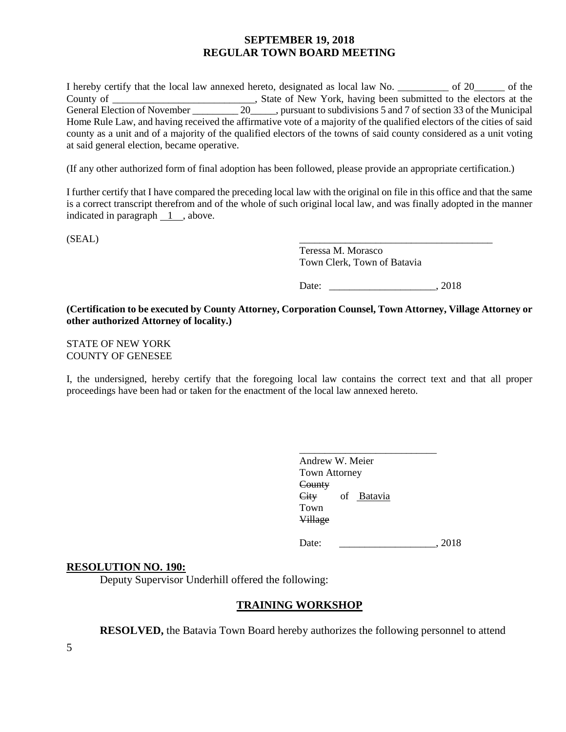I hereby certify that the local law annexed hereto, designated as local law No. \_\_\_\_\_\_\_\_\_\_ of 20\_\_\_\_\_\_ of the County of \_\_\_\_\_\_\_\_\_\_\_\_\_\_\_\_\_\_\_\_\_\_\_\_\_, State of New York, having been submitted to the electors at the General Election of November 20\_\_\_\_\_\_\_\_\_\_ 20\_\_\_\_\_, pursuant to subdivisions 5 and 7 of section 33 of the Municipal Home Rule Law, and having received the affirmative vote of a majority of the qualified electors of the cities of said county as a unit and of a majority of the qualified electors of the towns of said county considered as a unit voting at said general election, became operative.

(If any other authorized form of final adoption has been followed, please provide an appropriate certification.)

I further certify that I have compared the preceding local law with the original on file in this office and that the same is a correct transcript therefrom and of the whole of such original local law, and was finally adopted in the manner indicated in paragraph 1 , above.

 $(SEAL)$ 

Teressa M. Morasco Town Clerk, Town of Batavia

Date: \_\_\_\_\_\_\_\_\_\_\_\_\_\_\_\_\_\_\_\_\_, 2018

**(Certification to be executed by County Attorney, Corporation Counsel, Town Attorney, Village Attorney or other authorized Attorney of locality.)**

STATE OF NEW YORK COUNTY OF GENESEE

I, the undersigned, hereby certify that the foregoing local law contains the correct text and that all proper proceedings have been had or taken for the enactment of the local law annexed hereto.

| Andrew W. Meier               |  |  |  |  |
|-------------------------------|--|--|--|--|
| <b>Town Attorney</b>          |  |  |  |  |
| <del>County</del>             |  |  |  |  |
| <del>City</del><br>of Batavia |  |  |  |  |
| Town                          |  |  |  |  |
| Village                       |  |  |  |  |
|                               |  |  |  |  |

Date: 2018

#### **RESOLUTION NO. 190:**

Deputy Supervisor Underhill offered the following:

#### **TRAINING WORKSHOP**

**RESOLVED,** the Batavia Town Board hereby authorizes the following personnel to attend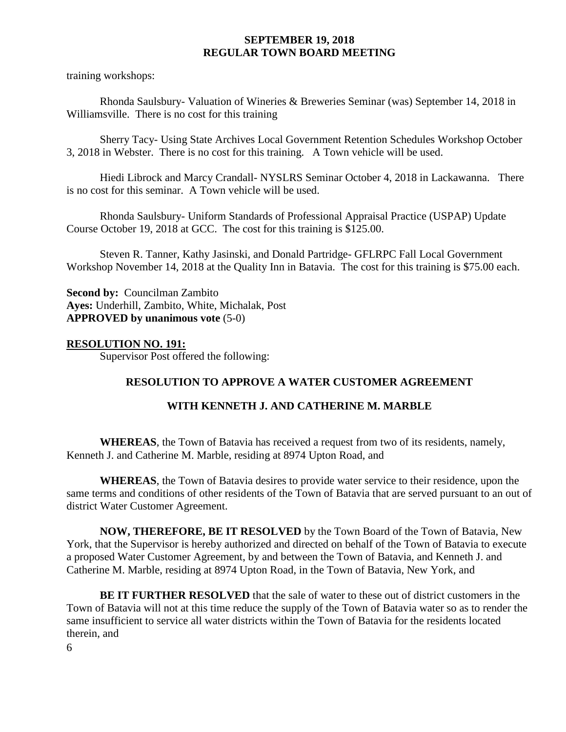training workshops:

Rhonda Saulsbury- Valuation of Wineries & Breweries Seminar (was) September 14, 2018 in Williamsville. There is no cost for this training

Sherry Tacy- Using State Archives Local Government Retention Schedules Workshop October 3, 2018 in Webster. There is no cost for this training. A Town vehicle will be used.

Hiedi Librock and Marcy Crandall- NYSLRS Seminar October 4, 2018 in Lackawanna. There is no cost for this seminar. A Town vehicle will be used.

Rhonda Saulsbury- Uniform Standards of Professional Appraisal Practice (USPAP) Update Course October 19, 2018 at GCC. The cost for this training is \$125.00.

Steven R. Tanner, Kathy Jasinski, and Donald Partridge- GFLRPC Fall Local Government Workshop November 14, 2018 at the Quality Inn in Batavia. The cost for this training is \$75.00 each.

**Second by:** Councilman Zambito **Ayes:** Underhill, Zambito, White, Michalak, Post **APPROVED by unanimous vote** (5-0)

## **RESOLUTION NO. 191:**

Supervisor Post offered the following:

# **RESOLUTION TO APPROVE A WATER CUSTOMER AGREEMENT**

### **WITH KENNETH J. AND CATHERINE M. MARBLE**

**WHEREAS**, the Town of Batavia has received a request from two of its residents, namely, Kenneth J. and Catherine M. Marble, residing at 8974 Upton Road, and

**WHEREAS**, the Town of Batavia desires to provide water service to their residence, upon the same terms and conditions of other residents of the Town of Batavia that are served pursuant to an out of district Water Customer Agreement.

**NOW, THEREFORE, BE IT RESOLVED** by the Town Board of the Town of Batavia, New York, that the Supervisor is hereby authorized and directed on behalf of the Town of Batavia to execute a proposed Water Customer Agreement, by and between the Town of Batavia, and Kenneth J. and Catherine M. Marble, residing at 8974 Upton Road, in the Town of Batavia, New York, and

**BE IT FURTHER RESOLVED** that the sale of water to these out of district customers in the Town of Batavia will not at this time reduce the supply of the Town of Batavia water so as to render the same insufficient to service all water districts within the Town of Batavia for the residents located therein, and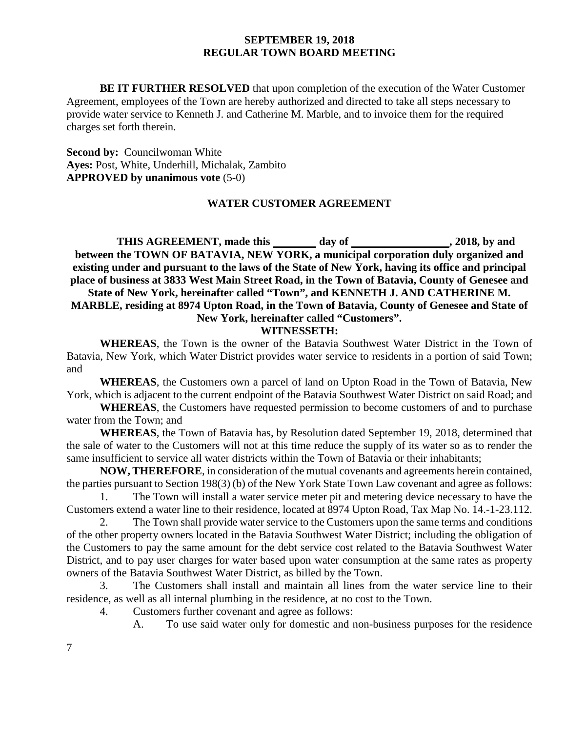**BE IT FURTHER RESOLVED** that upon completion of the execution of the Water Customer Agreement, employees of the Town are hereby authorized and directed to take all steps necessary to provide water service to Kenneth J. and Catherine M. Marble, and to invoice them for the required charges set forth therein.

**Second by:** Councilwoman White **Ayes:** Post, White, Underhill, Michalak, Zambito **APPROVED by unanimous vote** (5-0)

#### **WATER CUSTOMER AGREEMENT**

THIS AGREEMENT, made this \_\_\_\_\_\_\_ day of \_\_\_\_\_\_\_\_\_\_\_\_\_\_\_\_, 2018, by and **between the TOWN OF BATAVIA, NEW YORK, a municipal corporation duly organized and existing under and pursuant to the laws of the State of New York, having its office and principal place of business at 3833 West Main Street Road, in the Town of Batavia, County of Genesee and State of New York, hereinafter called "Town", and KENNETH J. AND CATHERINE M. MARBLE, residing at 8974 Upton Road, in the Town of Batavia, County of Genesee and State of New York, hereinafter called "Customers".**

#### **WITNESSETH:**

**WHEREAS**, the Town is the owner of the Batavia Southwest Water District in the Town of Batavia, New York, which Water District provides water service to residents in a portion of said Town; and

**WHEREAS**, the Customers own a parcel of land on Upton Road in the Town of Batavia, New York, which is adjacent to the current endpoint of the Batavia Southwest Water District on said Road; and

**WHEREAS**, the Customers have requested permission to become customers of and to purchase water from the Town; and

**WHEREAS**, the Town of Batavia has, by Resolution dated September 19, 2018, determined that the sale of water to the Customers will not at this time reduce the supply of its water so as to render the same insufficient to service all water districts within the Town of Batavia or their inhabitants;

**NOW, THEREFORE**, in consideration of the mutual covenants and agreements herein contained, the parties pursuant to Section 198(3) (b) of the New York State Town Law covenant and agree as follows:

1. The Town will install a water service meter pit and metering device necessary to have the Customers extend a water line to their residence, located at 8974 Upton Road, Tax Map No. 14.-1-23.112.

2. The Town shall provide water service to the Customers upon the same terms and conditions of the other property owners located in the Batavia Southwest Water District; including the obligation of the Customers to pay the same amount for the debt service cost related to the Batavia Southwest Water District, and to pay user charges for water based upon water consumption at the same rates as property owners of the Batavia Southwest Water District, as billed by the Town.

3. The Customers shall install and maintain all lines from the water service line to their residence, as well as all internal plumbing in the residence, at no cost to the Town.

4. Customers further covenant and agree as follows:

A. To use said water only for domestic and non-business purposes for the residence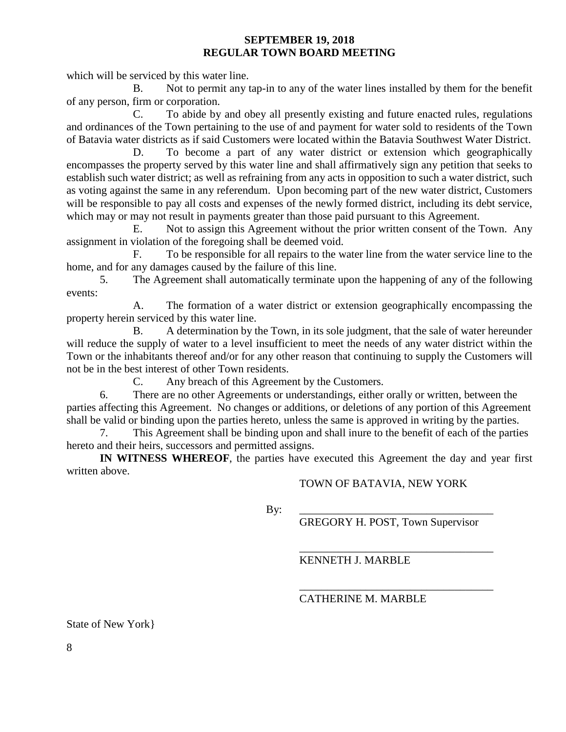which will be serviced by this water line.

B. Not to permit any tap-in to any of the water lines installed by them for the benefit of any person, firm or corporation.

C. To abide by and obey all presently existing and future enacted rules, regulations and ordinances of the Town pertaining to the use of and payment for water sold to residents of the Town of Batavia water districts as if said Customers were located within the Batavia Southwest Water District.

D. To become a part of any water district or extension which geographically encompasses the property served by this water line and shall affirmatively sign any petition that seeks to establish such water district; as well as refraining from any acts in opposition to such a water district, such as voting against the same in any referendum. Upon becoming part of the new water district, Customers will be responsible to pay all costs and expenses of the newly formed district, including its debt service, which may or may not result in payments greater than those paid pursuant to this Agreement.

E. Not to assign this Agreement without the prior written consent of the Town. Any assignment in violation of the foregoing shall be deemed void.

F. To be responsible for all repairs to the water line from the water service line to the home, and for any damages caused by the failure of this line.

5. The Agreement shall automatically terminate upon the happening of any of the following events:

A. The formation of a water district or extension geographically encompassing the property herein serviced by this water line.

B. A determination by the Town, in its sole judgment, that the sale of water hereunder will reduce the supply of water to a level insufficient to meet the needs of any water district within the Town or the inhabitants thereof and/or for any other reason that continuing to supply the Customers will not be in the best interest of other Town residents.

C. Any breach of this Agreement by the Customers.

6. There are no other Agreements or understandings, either orally or written, between the parties affecting this Agreement. No changes or additions, or deletions of any portion of this Agreement shall be valid or binding upon the parties hereto, unless the same is approved in writing by the parties.

7. This Agreement shall be binding upon and shall inure to the benefit of each of the parties hereto and their heirs, successors and permitted assigns.

**IN WITNESS WHEREOF**, the parties have executed this Agreement the day and year first written above.

TOWN OF BATAVIA, NEW YORK

By: \_\_\_\_\_\_\_\_\_\_\_\_\_\_\_\_\_\_\_\_\_\_\_\_\_\_\_\_\_\_\_\_\_\_\_

GREGORY H. POST, Town Supervisor

\_\_\_\_\_\_\_\_\_\_\_\_\_\_\_\_\_\_\_\_\_\_\_\_\_\_\_\_\_\_\_\_\_\_\_

\_\_\_\_\_\_\_\_\_\_\_\_\_\_\_\_\_\_\_\_\_\_\_\_\_\_\_\_\_\_\_\_\_\_\_ KENNETH J. MARBLE

CATHERINE M. MARBLE

State of New York}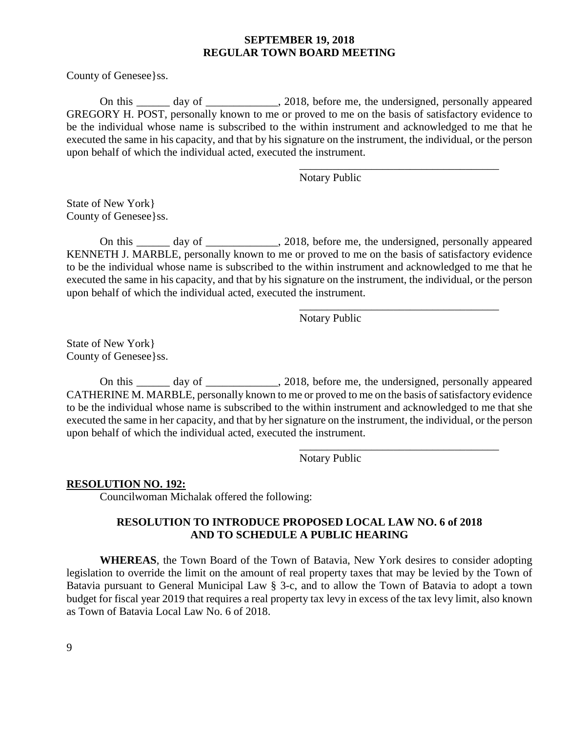County of Genesee}ss.

On this \_\_\_\_\_\_ day of \_\_\_\_\_\_\_\_\_\_\_\_\_, 2018, before me, the undersigned, personally appeared GREGORY H. POST, personally known to me or proved to me on the basis of satisfactory evidence to be the individual whose name is subscribed to the within instrument and acknowledged to me that he executed the same in his capacity, and that by his signature on the instrument, the individual, or the person upon behalf of which the individual acted, executed the instrument.

Notary Public

\_\_\_\_\_\_\_\_\_\_\_\_\_\_\_\_\_\_\_\_\_\_\_\_\_\_\_\_\_\_\_\_\_\_\_\_

\_\_\_\_\_\_\_\_\_\_\_\_\_\_\_\_\_\_\_\_\_\_\_\_\_\_\_\_\_\_\_\_\_\_\_\_

\_\_\_\_\_\_\_\_\_\_\_\_\_\_\_\_\_\_\_\_\_\_\_\_\_\_\_\_\_\_\_\_\_\_\_\_

State of New York} County of Genesee}ss.

On this \_\_\_\_\_\_ day of \_\_\_\_\_\_\_\_\_\_\_\_\_, 2018, before me, the undersigned, personally appeared KENNETH J. MARBLE, personally known to me or proved to me on the basis of satisfactory evidence to be the individual whose name is subscribed to the within instrument and acknowledged to me that he executed the same in his capacity, and that by his signature on the instrument, the individual, or the person upon behalf of which the individual acted, executed the instrument.

Notary Public

State of New York} County of Genesee}ss.

On this day of 2018, before me, the undersigned, personally appeared CATHERINE M. MARBLE, personally known to me or proved to me on the basis of satisfactory evidence to be the individual whose name is subscribed to the within instrument and acknowledged to me that she executed the same in her capacity, and that by her signature on the instrument, the individual, or the person upon behalf of which the individual acted, executed the instrument.

Notary Public

#### **RESOLUTION NO. 192:**

Councilwoman Michalak offered the following:

#### **RESOLUTION TO INTRODUCE PROPOSED LOCAL LAW NO. 6 of 2018 AND TO SCHEDULE A PUBLIC HEARING**

**WHEREAS**, the Town Board of the Town of Batavia, New York desires to consider adopting legislation to override the limit on the amount of real property taxes that may be levied by the Town of Batavia pursuant to General Municipal Law § 3-c, and to allow the Town of Batavia to adopt a town budget for fiscal year 2019 that requires a real property tax levy in excess of the tax levy limit, also known as Town of Batavia Local Law No. 6 of 2018.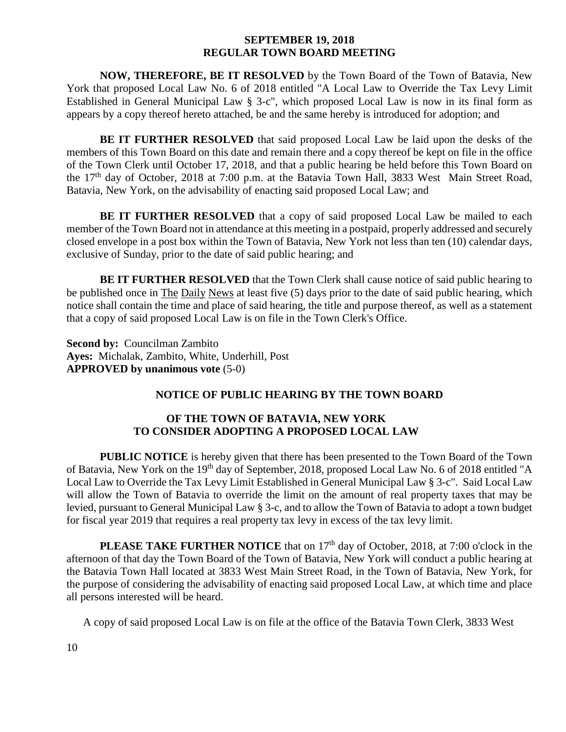**NOW, THEREFORE, BE IT RESOLVED** by the Town Board of the Town of Batavia, New York that proposed Local Law No. 6 of 2018 entitled "A Local Law to Override the Tax Levy Limit Established in General Municipal Law § 3-c", which proposed Local Law is now in its final form as appears by a copy thereof hereto attached, be and the same hereby is introduced for adoption; and

**BE IT FURTHER RESOLVED** that said proposed Local Law be laid upon the desks of the members of this Town Board on this date and remain there and a copy thereof be kept on file in the office of the Town Clerk until October 17, 2018, and that a public hearing be held before this Town Board on the 17<sup>th</sup> day of October, 2018 at 7:00 p.m. at the Batavia Town Hall, 3833 West Main Street Road, Batavia, New York, on the advisability of enacting said proposed Local Law; and

**BE IT FURTHER RESOLVED** that a copy of said proposed Local Law be mailed to each member of the Town Board not in attendance at this meeting in a postpaid, properly addressed and securely closed envelope in a post box within the Town of Batavia, New York not less than ten (10) calendar days, exclusive of Sunday, prior to the date of said public hearing; and

**BE IT FURTHER RESOLVED** that the Town Clerk shall cause notice of said public hearing to be published once in The Daily News at least five (5) days prior to the date of said public hearing, which notice shall contain the time and place of said hearing, the title and purpose thereof, as well as a statement that a copy of said proposed Local Law is on file in the Town Clerk's Office.

**Second by:** Councilman Zambito **Ayes:** Michalak, Zambito, White, Underhill, Post **APPROVED by unanimous vote** (5-0)

### **NOTICE OF PUBLIC HEARING BY THE TOWN BOARD**

## **OF THE TOWN OF BATAVIA, NEW YORK TO CONSIDER ADOPTING A PROPOSED LOCAL LAW**

**PUBLIC NOTICE** is hereby given that there has been presented to the Town Board of the Town of Batavia, New York on the 19th day of September, 2018, proposed Local Law No. 6 of 2018 entitled "A Local Law to Override the Tax Levy Limit Established in General Municipal Law § 3-c". Said Local Law will allow the Town of Batavia to override the limit on the amount of real property taxes that may be levied, pursuant to General Municipal Law § 3-c, and to allow the Town of Batavia to adopt a town budget for fiscal year 2019 that requires a real property tax levy in excess of the tax levy limit.

**PLEASE TAKE FURTHER NOTICE** that on 17<sup>th</sup> day of October, 2018, at 7:00 o'clock in the afternoon of that day the Town Board of the Town of Batavia, New York will conduct a public hearing at the Batavia Town Hall located at 3833 West Main Street Road, in the Town of Batavia, New York, for the purpose of considering the advisability of enacting said proposed Local Law, at which time and place all persons interested will be heard.

A copy of said proposed Local Law is on file at the office of the Batavia Town Clerk, 3833 West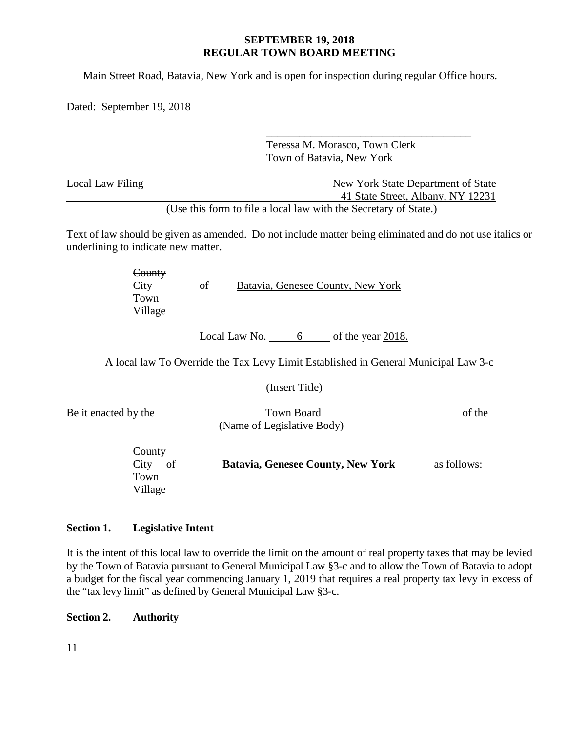Main Street Road, Batavia, New York and is open for inspection during regular Office hours.

Dated: September 19, 2018

|                                          | Teressa M. Morasco, Town Clerk<br>Town of Batavia, New York                                                                                                                  |  |  |
|------------------------------------------|------------------------------------------------------------------------------------------------------------------------------------------------------------------------------|--|--|
| Local Law Filing                         | New York State Department of State<br>41 State Street, Albany, NY 12231                                                                                                      |  |  |
| underlining to indicate new matter.      | (Use this form to file a local law with the Secretary of State.)<br>Text of law should be given as amended. Do not include matter being eliminated and do not use italics or |  |  |
| County<br>City<br>Town<br><b>Village</b> | of<br>Batavia, Genesee County, New York                                                                                                                                      |  |  |
|                                          | Local Law No. $\qquad 6 \qquad$ of the year 2018.<br>A local law To Override the Tax Levy Limit Established in General Municipal Law 3-c                                     |  |  |
|                                          | (Insert Title)                                                                                                                                                               |  |  |
| Be it enacted by the                     | <b>Town Board</b><br>of the<br>(Name of Legislative Body)                                                                                                                    |  |  |
| County<br>City<br>of<br>Town<br>Village  | <b>Batavia, Genesee County, New York</b><br>as follows:                                                                                                                      |  |  |

## **Section 1. Legislative Intent**

It is the intent of this local law to override the limit on the amount of real property taxes that may be levied by the Town of Batavia pursuant to General Municipal Law §3-c and to allow the Town of Batavia to adopt a budget for the fiscal year commencing January 1, 2019 that requires a real property tax levy in excess of the "tax levy limit" as defined by General Municipal Law §3-c.

### **Section 2. Authority**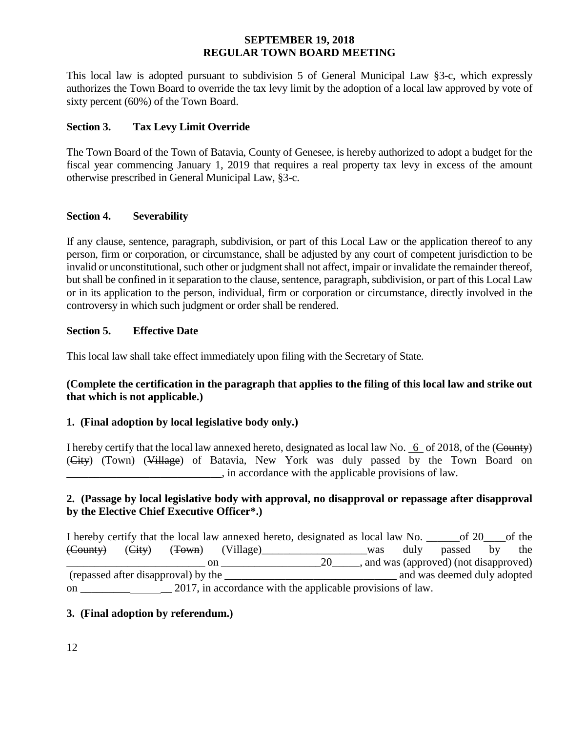This local law is adopted pursuant to subdivision 5 of General Municipal Law §3-c, which expressly authorizes the Town Board to override the tax levy limit by the adoption of a local law approved by vote of sixty percent (60%) of the Town Board.

## **Section 3. Tax Levy Limit Override**

The Town Board of the Town of Batavia, County of Genesee, is hereby authorized to adopt a budget for the fiscal year commencing January 1, 2019 that requires a real property tax levy in excess of the amount otherwise prescribed in General Municipal Law, §3-c.

### **Section 4. Severability**

If any clause, sentence, paragraph, subdivision, or part of this Local Law or the application thereof to any person, firm or corporation, or circumstance, shall be adjusted by any court of competent jurisdiction to be invalid or unconstitutional, such other or judgment shall not affect, impair or invalidate the remainder thereof, but shall be confined in it separation to the clause, sentence, paragraph, subdivision, or part of this Local Law or in its application to the person, individual, firm or corporation or circumstance, directly involved in the controversy in which such judgment or order shall be rendered.

### **Section 5. Effective Date**

This local law shall take effect immediately upon filing with the Secretary of State.

## **(Complete the certification in the paragraph that applies to the filing of this local law and strike out that which is not applicable.)**

# **1. (Final adoption by local legislative body only.)**

I hereby certify that the local law annexed hereto, designated as local law No. 6 of 2018, of the (County) (City) (Town) (Village) of Batavia, New York was duly passed by the Town Board on \_\_\_\_\_\_\_\_\_\_\_\_\_\_\_\_\_\_\_\_\_\_\_\_\_\_\_\_, in accordance with the applicable provisions of law.

## **2. (Passage by local legislative body with approval, no disapproval or repassage after disapproval by the Elective Chief Executive Officer\*.)**

I hereby certify that the local law annexed hereto, designated as local law No. \_\_\_\_\_\_of 20\_\_\_\_of the (County) (City) (Town) (Village)\_\_\_\_\_\_\_\_\_\_\_\_\_\_\_\_\_\_\_was duly passed by the 20\_\_\_\_\_\_, and was (approved) (not disapproved) (repassed after disapproval) by the \_\_\_\_\_\_\_\_\_\_\_\_\_\_\_\_\_\_\_\_\_\_\_\_\_\_\_\_\_\_\_ and was deemed duly adopted on \_\_\_\_\_\_\_\_\_ \_\_ 2017, in accordance with the applicable provisions of law.

### **3. (Final adoption by referendum.)**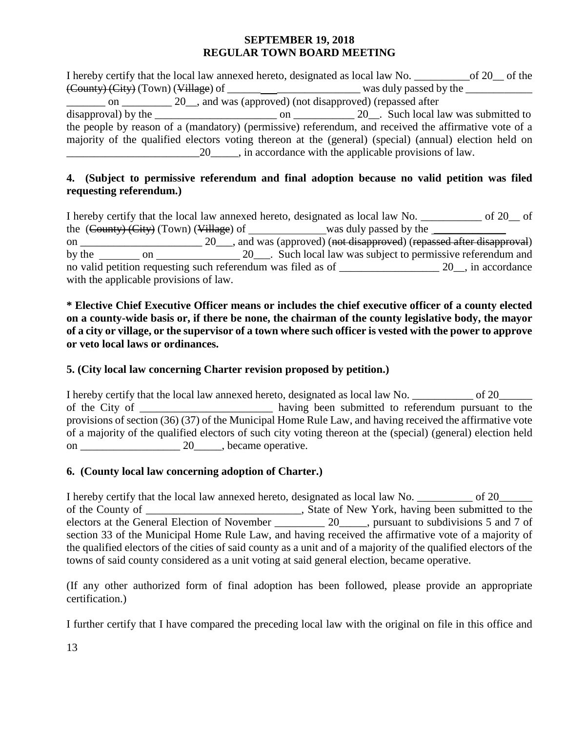I hereby certify that the local law annexed hereto, designated as local law No. \_\_\_\_\_\_\_\_\_\_of 20\_\_ of the (County) (City) (Town) (Village) of \_\_\_\_\_\_ \_\_\_\_\_\_\_\_\_\_\_\_\_\_\_ was duly passed by the \_\_\_\_\_\_\_\_\_\_\_\_  $\frac{1}{20}$  on  $\frac{20}{100}$ , and was (approved) (not disapproved) (repassed after disapproval) by the \_\_\_\_\_\_\_\_\_\_\_\_\_\_\_\_\_\_\_\_\_\_ on \_\_\_\_\_\_\_\_\_\_\_ 20\_\_. Such local law was submitted to the people by reason of a (mandatory) (permissive) referendum, and received the affirmative vote of a majority of the qualified electors voting thereon at the (general) (special) (annual) election held on \_\_\_\_\_\_\_\_\_\_\_\_\_\_\_\_\_\_\_\_\_\_\_\_20\_\_\_\_\_, in accordance with the applicable provisions of law.

# **4. (Subject to permissive referendum and final adoption because no valid petition was filed requesting referendum.)**

I hereby certify that the local law annexed hereto, designated as local law No.  $\qquad \qquad$  of 20  $\qquad$  of the  $(\text{Country})$  (City) (Town) (Village) of was duly passed by the  $\frac{1}{\sqrt{1-\frac{1}{n}}}\$ on \_\_\_\_\_\_\_\_\_\_\_\_\_\_\_\_\_\_\_\_\_\_\_\_\_ 20\_\_\_, and was (approved) (not disapproved) (repassed after disapproval) by the on 20\_\_\_. Such local law was subject to permissive referendum and no valid petition requesting such referendum was filed as of \_\_\_\_\_\_\_\_\_\_\_\_\_\_\_\_\_\_ 20\_\_, in accordance with the applicable provisions of law.

**\* Elective Chief Executive Officer means or includes the chief executive officer of a county elected on a county-wide basis or, if there be none, the chairman of the county legislative body, the mayor of a city or village, or the supervisor of a town where such officer is vested with the power to approve or veto local laws or ordinances.**

# **5. (City local law concerning Charter revision proposed by petition.)**

I hereby certify that the local law annexed hereto, designated as local law No. \_\_\_\_\_\_\_\_\_\_\_\_\_ of 20\_\_\_\_\_\_\_\_ of the City of \_\_\_\_\_\_\_\_\_\_\_\_\_\_\_\_\_\_\_\_\_\_\_ having been submitted to referendum pursuant to the provisions of section (36) (37) of the Municipal Home Rule Law, and having received the affirmative vote of a majority of the qualified electors of such city voting thereon at the (special) (general) election held on \_\_\_\_\_\_\_\_\_\_\_\_\_\_\_\_\_\_ 20\_\_\_\_\_, became operative.

# **6. (County local law concerning adoption of Charter.)**

I hereby certify that the local law annexed hereto, designated as local law No. \_\_\_\_\_\_\_\_\_\_ of 20\_\_\_\_\_\_\_ of the County of \_\_\_\_\_\_\_\_\_\_\_\_\_\_\_\_\_\_\_\_\_\_\_\_\_\_\_\_\_\_\_, State of New York, having been submitted to the electors at the General Election of November \_\_\_\_\_\_\_\_\_\_\_\_ 20\_\_\_\_\_, pursuant to subdivisions 5 and 7 of section 33 of the Municipal Home Rule Law, and having received the affirmative vote of a majority of the qualified electors of the cities of said county as a unit and of a majority of the qualified electors of the towns of said county considered as a unit voting at said general election, became operative.

(If any other authorized form of final adoption has been followed, please provide an appropriate certification.)

I further certify that I have compared the preceding local law with the original on file in this office and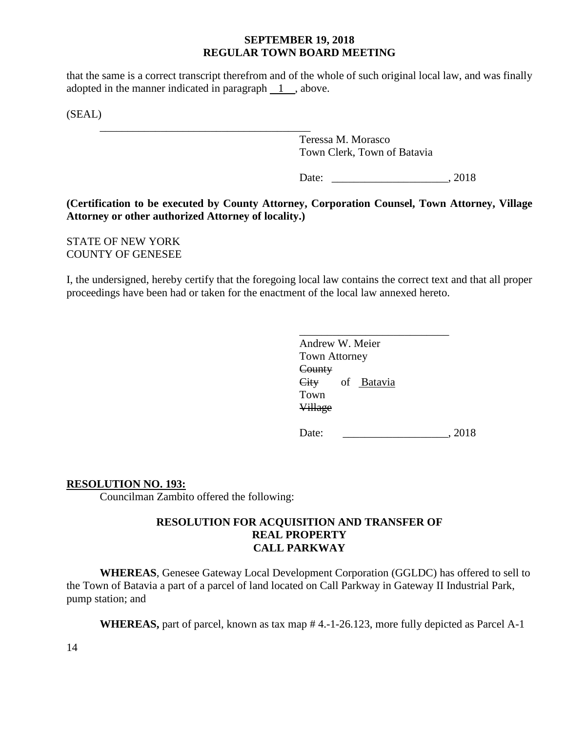that the same is a correct transcript therefrom and of the whole of such original local law, and was finally adopted in the manner indicated in paragraph  $\boxed{1}$ , above.

(SEAL)

\_\_\_\_\_\_\_\_\_\_\_\_\_\_\_\_\_\_\_\_\_\_\_\_\_\_\_\_\_\_\_\_\_\_\_\_\_\_ Teressa M. Morasco Town Clerk, Town of Batavia

Date: 2018

## **(Certification to be executed by County Attorney, Corporation Counsel, Town Attorney, Village Attorney or other authorized Attorney of locality.)**

STATE OF NEW YORK COUNTY OF GENESEE

I, the undersigned, hereby certify that the foregoing local law contains the correct text and that all proper proceedings have been had or taken for the enactment of the local law annexed hereto.

| Andrew W. Meier      |  |
|----------------------|--|
| <b>Town Attorney</b> |  |
| County               |  |
| City<br>of Batavia   |  |
| Town                 |  |
| <b>Village</b>       |  |
|                      |  |

Date: 2018

### **RESOLUTION NO. 193:**

Councilman Zambito offered the following:

## **RESOLUTION FOR ACQUISITION AND TRANSFER OF REAL PROPERTY CALL PARKWAY**

**WHEREAS**, Genesee Gateway Local Development Corporation (GGLDC) has offered to sell to the Town of Batavia a part of a parcel of land located on Call Parkway in Gateway II Industrial Park, pump station; and

**WHEREAS,** part of parcel, known as tax map # 4.-1-26.123, more fully depicted as Parcel A-1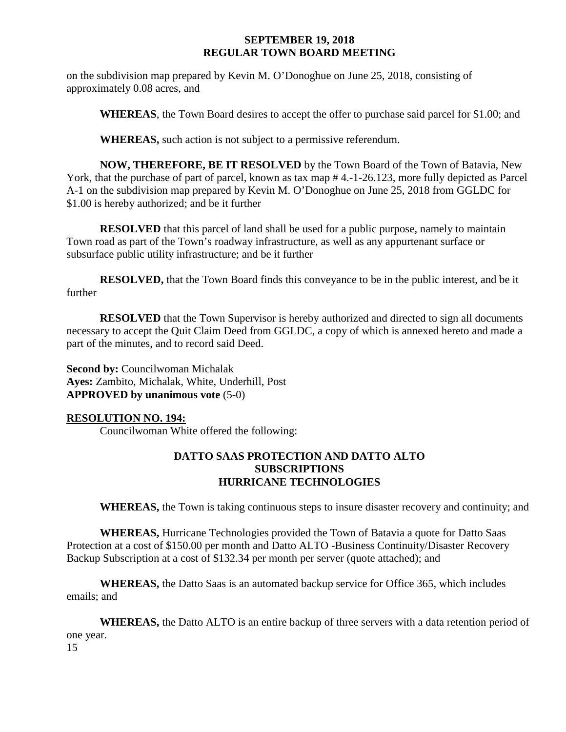on the subdivision map prepared by Kevin M. O'Donoghue on June 25, 2018, consisting of approximately 0.08 acres, and

**WHEREAS**, the Town Board desires to accept the offer to purchase said parcel for \$1.00; and

**WHEREAS,** such action is not subject to a permissive referendum.

**NOW, THEREFORE, BE IT RESOLVED** by the Town Board of the Town of Batavia, New York, that the purchase of part of parcel, known as tax map # 4.-1-26.123, more fully depicted as Parcel A-1 on the subdivision map prepared by Kevin M. O'Donoghue on June 25, 2018 from GGLDC for \$1.00 is hereby authorized; and be it further

**RESOLVED** that this parcel of land shall be used for a public purpose, namely to maintain Town road as part of the Town's roadway infrastructure, as well as any appurtenant surface or subsurface public utility infrastructure; and be it further

**RESOLVED,** that the Town Board finds this conveyance to be in the public interest, and be it further

**RESOLVED** that the Town Supervisor is hereby authorized and directed to sign all documents necessary to accept the Quit Claim Deed from GGLDC, a copy of which is annexed hereto and made a part of the minutes, and to record said Deed.

**Second by: Councilwoman Michalak Ayes:** Zambito, Michalak, White, Underhill, Post **APPROVED by unanimous vote** (5-0)

### **RESOLUTION NO. 194:**

Councilwoman White offered the following:

## **DATTO SAAS PROTECTION AND DATTO ALTO SUBSCRIPTIONS HURRICANE TECHNOLOGIES**

**WHEREAS,** the Town is taking continuous steps to insure disaster recovery and continuity; and

**WHEREAS,** Hurricane Technologies provided the Town of Batavia a quote for Datto Saas Protection at a cost of \$150.00 per month and Datto ALTO -Business Continuity/Disaster Recovery Backup Subscription at a cost of \$132.34 per month per server (quote attached); and

**WHEREAS,** the Datto Saas is an automated backup service for Office 365, which includes emails; and

**WHEREAS,** the Datto ALTO is an entire backup of three servers with a data retention period of one year.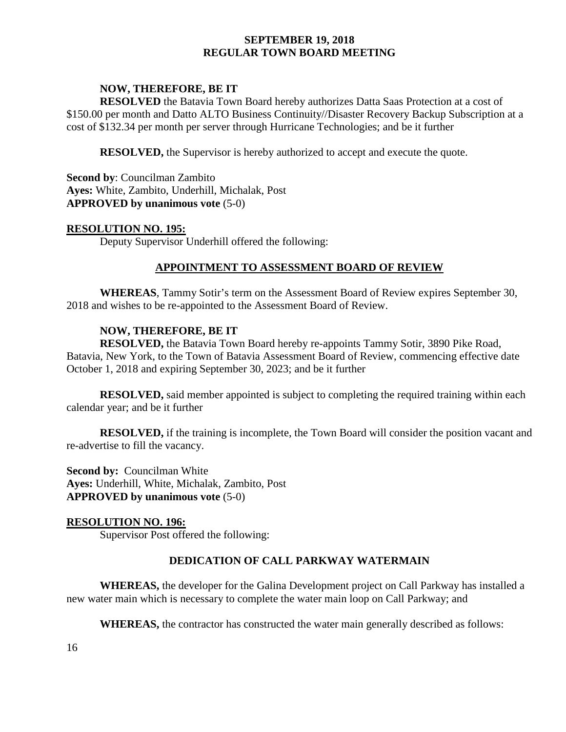# **NOW, THEREFORE, BE IT**

**RESOLVED** the Batavia Town Board hereby authorizes Datta Saas Protection at a cost of \$150.00 per month and Datto ALTO Business Continuity//Disaster Recovery Backup Subscription at a cost of \$132.34 per month per server through Hurricane Technologies; and be it further

**RESOLVED,** the Supervisor is hereby authorized to accept and execute the quote.

**Second by**: Councilman Zambito **Ayes:** White, Zambito, Underhill, Michalak, Post **APPROVED by unanimous vote** (5-0)

#### **RESOLUTION NO. 195:**

Deputy Supervisor Underhill offered the following:

### **APPOINTMENT TO ASSESSMENT BOARD OF REVIEW**

**WHEREAS**, Tammy Sotir's term on the Assessment Board of Review expires September 30, 2018 and wishes to be re-appointed to the Assessment Board of Review.

### **NOW, THEREFORE, BE IT**

**RESOLVED,** the Batavia Town Board hereby re-appoints Tammy Sotir, 3890 Pike Road, Batavia, New York, to the Town of Batavia Assessment Board of Review, commencing effective date October 1, 2018 and expiring September 30, 2023; and be it further

**RESOLVED,** said member appointed is subject to completing the required training within each calendar year; and be it further

**RESOLVED,** if the training is incomplete, the Town Board will consider the position vacant and re-advertise to fill the vacancy.

**Second by: Councilman White Ayes:** Underhill, White, Michalak, Zambito, Post **APPROVED by unanimous vote** (5-0)

### **RESOLUTION NO. 196:**

Supervisor Post offered the following:

### **DEDICATION OF CALL PARKWAY WATERMAIN**

**WHEREAS,** the developer for the Galina Development project on Call Parkway has installed a new water main which is necessary to complete the water main loop on Call Parkway; and

**WHEREAS,** the contractor has constructed the water main generally described as follows: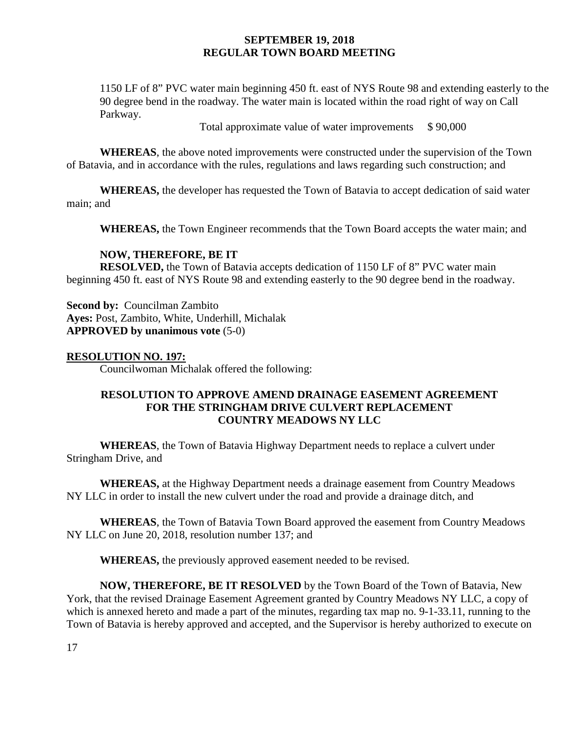1150 LF of 8" PVC water main beginning 450 ft. east of NYS Route 98 and extending easterly to the 90 degree bend in the roadway. The water main is located within the road right of way on Call Parkway.

Total approximate value of water improvements \$90,000

**WHEREAS**, the above noted improvements were constructed under the supervision of the Town of Batavia, and in accordance with the rules, regulations and laws regarding such construction; and

**WHEREAS,** the developer has requested the Town of Batavia to accept dedication of said water main; and

**WHEREAS,** the Town Engineer recommends that the Town Board accepts the water main; and

### **NOW, THEREFORE, BE IT**

**RESOLVED,** the Town of Batavia accepts dedication of 1150 LF of 8" PVC water main beginning 450 ft. east of NYS Route 98 and extending easterly to the 90 degree bend in the roadway.

**Second by:** Councilman Zambito **Ayes:** Post, Zambito, White, Underhill, Michalak **APPROVED by unanimous vote** (5-0)

#### **RESOLUTION NO. 197:**

Councilwoman Michalak offered the following:

## **RESOLUTION TO APPROVE AMEND DRAINAGE EASEMENT AGREEMENT FOR THE STRINGHAM DRIVE CULVERT REPLACEMENT COUNTRY MEADOWS NY LLC**

**WHEREAS**, the Town of Batavia Highway Department needs to replace a culvert under Stringham Drive, and

**WHEREAS,** at the Highway Department needs a drainage easement from Country Meadows NY LLC in order to install the new culvert under the road and provide a drainage ditch, and

**WHEREAS**, the Town of Batavia Town Board approved the easement from Country Meadows NY LLC on June 20, 2018, resolution number 137; and

**WHEREAS,** the previously approved easement needed to be revised.

**NOW, THEREFORE, BE IT RESOLVED** by the Town Board of the Town of Batavia, New York, that the revised Drainage Easement Agreement granted by Country Meadows NY LLC, a copy of which is annexed hereto and made a part of the minutes, regarding tax map no. 9-1-33.11, running to the Town of Batavia is hereby approved and accepted, and the Supervisor is hereby authorized to execute on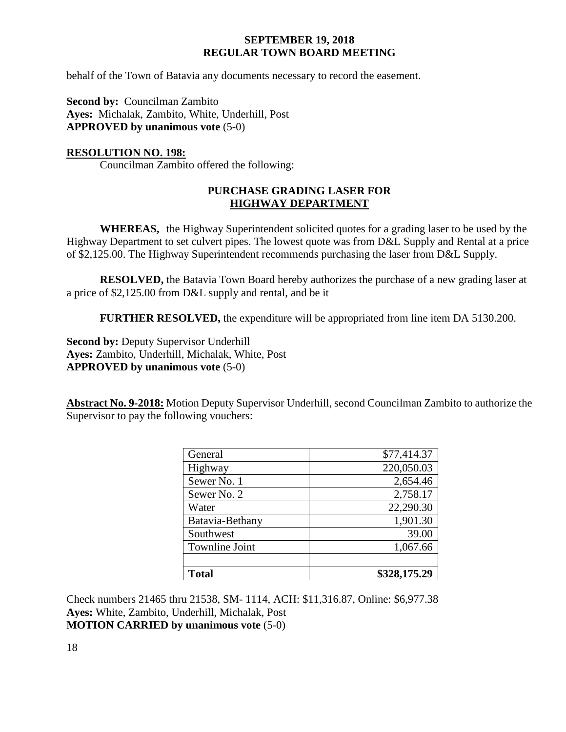behalf of the Town of Batavia any documents necessary to record the easement.

**Second by:** Councilman Zambito **Ayes:** Michalak, Zambito, White, Underhill, Post **APPROVED by unanimous vote** (5-0)

### **RESOLUTION NO. 198:**

Councilman Zambito offered the following:

## **PURCHASE GRADING LASER FOR HIGHWAY DEPARTMENT**

**WHEREAS,** the Highway Superintendent solicited quotes for a grading laser to be used by the Highway Department to set culvert pipes. The lowest quote was from D&L Supply and Rental at a price of \$2,125.00. The Highway Superintendent recommends purchasing the laser from D&L Supply.

**RESOLVED,** the Batavia Town Board hereby authorizes the purchase of a new grading laser at a price of \$2,125.00 from D&L supply and rental, and be it

**FURTHER RESOLVED,** the expenditure will be appropriated from line item DA 5130.200.

**Second by: Deputy Supervisor Underhill Ayes:** Zambito, Underhill, Michalak, White, Post **APPROVED by unanimous vote** (5-0)

**Abstract No. 9-2018:** Motion Deputy Supervisor Underhill, second Councilman Zambito to authorize the Supervisor to pay the following vouchers:

| General               | \$77,414.37  |
|-----------------------|--------------|
| Highway               | 220,050.03   |
| Sewer No. 1           | 2,654.46     |
| Sewer No. 2           | 2,758.17     |
| Water                 | 22,290.30    |
| Batavia-Bethany       | 1,901.30     |
| Southwest             | 39.00        |
| <b>Townline Joint</b> | 1,067.66     |
|                       |              |
| <b>Total</b>          | \$328,175.29 |

Check numbers 21465 thru 21538, SM- 1114, ACH: \$11,316.87, Online: \$6,977.38 **Ayes:** White, Zambito, Underhill, Michalak, Post **MOTION CARRIED by unanimous vote** (5-0)